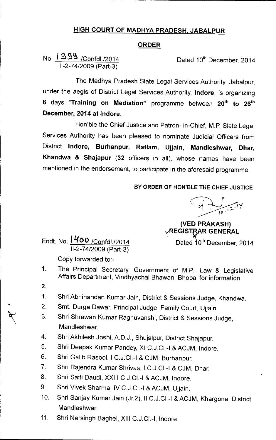## HIGH COURT OF MADHYA PRADESH, JABALPUR

## ORDER

No. *<sup>I</sup>* 3g~/Confd1./2014 11-2-74/2009 (Part-3)

Dated 10<sup>th</sup> December, 2014

The Madhya Pradesh State Legal Services Authority, Jabalpur, under the aegis of District Legal Services Authority, Indore, is organizing 6 days "Training on Mediation" programme between 20<sup>th</sup> to 26<sup>th</sup> December, 2014 at Indore.

Hon'ble the Chief Justice and Patron- in-Chief, M.P. State Legal Services Authority has been pleased to nominate Judicial Officers from District Indore, Burhanpur, Ratlam, Ujjain, Mandleshwar, Dhar, Khandwa & Shajapur (32 officers in all), whose names have been mentioned in the endorsement, to participate in the aforesaid programme.

## BY ORDER OF HON'BLE THE CHIEF JUSTICE

*~~i ~IO'"*

(VED PRAKASH) **VREGISTRAR GENERAL** 

Endt. No. <mark>1400 /Confdl./2014</mark> Dated 10<sup>th</sup> December, 2014 11-2-74/2009 (Part-3)

Copy forwarded to:-

- 1. The Principal Secretary, Government of M.P., Law & Legislative Affairs Department, Vindhyachal Bhawan, Bhopal for information.
- 2.
- 1. Shri Abhinandan Kumar Jain, District & Sessions Judge, Khandwa.
- 2. Smt. Durga Dawar, Principal Judge, Family Court, Ujjain.
- $\sqrt[3]{}$ Shri Shrawan Kumar Raghuvanshi, District & Sessions Judge, Mandleshwar.
	- 4. Shri Akhilesh Joshi, A.D.J., Shujalpur, District Shajapur.
	- 5. Shri Deepak Kumar Pandey, XI C.J.CI.-I & ACJM, Indore.
	- 6. Shri Galib Rasool, I C.J.CI.-I & CJM, Burhanpur.
	- 7. Shri Rajendra Kumar Shrivas, I C.J.CI.-I & CJM, Dhar.
	- 8. Shri Saifi Daudi, XXIII C.J.CI.-I & ACJM, Indore.
	- 9. Shri Vivek Sharma, IV C.J.CI.-I & ACJM, Ujjain.
	- 10. Shri Sanjay Kumar Jain (Jr.2), II C.J.CI.-I & ACJM, Khargone, District Mandleshwar.
	- 11. Shri Narsingh Baghel, XIII C.J.CI.-I, Indore.